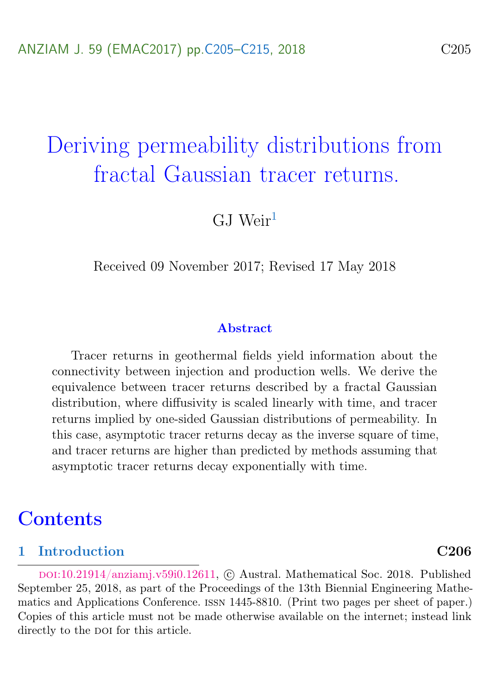# <span id="page-0-0"></span>Deriving permeability distributions from fractal Gaussian tracer returns.

 $GJ$  Weir<sup>[1](#page-10-0)</sup>

Received 09 November 2017; Revised 17 May 2018

#### Abstract

Tracer returns in geothermal fields yield information about the connectivity between injection and production wells. We derive the equivalence between tracer returns described by a fractal Gaussian distribution, where diffusivity is scaled linearly with time, and tracer returns implied by one-sided Gaussian distributions of permeability. In this case, asymptotic tracer returns decay as the inverse square of time, and tracer returns are higher than predicted by methods assuming that asymptotic tracer returns decay exponentially with time.

## **Contents**

### [1 Introduction](#page-1-0) C206

DOI:[10.21914/anziamj.v59i0.12611,](https://doi.org/10.21914/anziamj.v59i0.12611) © Austral. Mathematical Soc. 2018. Published September 25, 2018, as part of the Proceedings of the 13th Biennial Engineering Mathematics and Applications Conference. issn 1445-8810. (Print two pages per sheet of paper.) Copies of this article must not be made otherwise available on the internet; instead link directly to the poi for this article.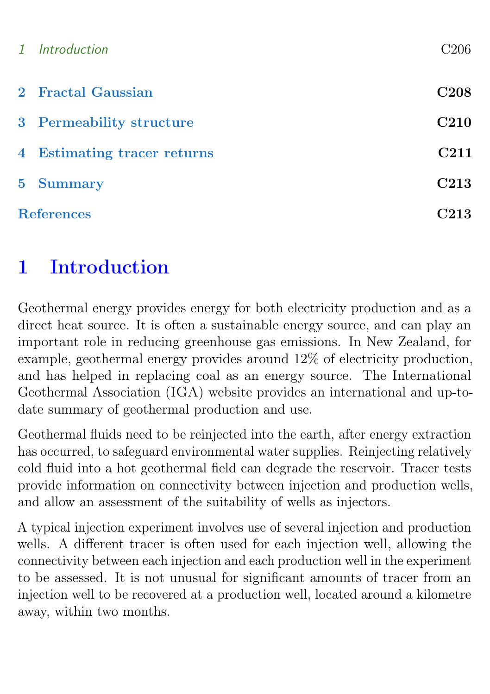|                   | 1 Introduction              | C206             |
|-------------------|-----------------------------|------------------|
|                   | 2 Fractal Gaussian          | <b>C208</b>      |
|                   | 3 Permeability structure    | <b>C210</b>      |
|                   | 4 Estimating tracer returns | C <sub>211</sub> |
|                   | 5 Summary                   | C <sub>213</sub> |
| <b>References</b> |                             | C <sub>213</sub> |

# <span id="page-1-0"></span>1 Introduction

Geothermal energy provides energy for both electricity production and as a direct heat source. It is often a sustainable energy source, and can play an important role in reducing greenhouse gas emissions. In New Zealand, for example, geothermal energy provides around 12% of electricity production, and has helped in replacing coal as an energy source. The International Geothermal Association (IGA) website provides an international and up-todate summary of geothermal production and use.

Geothermal fluids need to be reinjected into the earth, after energy extraction has occurred, to safeguard environmental water supplies. Reinjecting relatively cold fluid into a hot geothermal field can degrade the reservoir. Tracer tests provide information on connectivity between injection and production wells, and allow an assessment of the suitability of wells as injectors.

A typical injection experiment involves use of several injection and production wells. A different tracer is often used for each injection well, allowing the connectivity between each injection and each production well in the experiment to be assessed. It is not unusual for significant amounts of tracer from an injection well to be recovered at a production well, located around a kilometre away, within two months.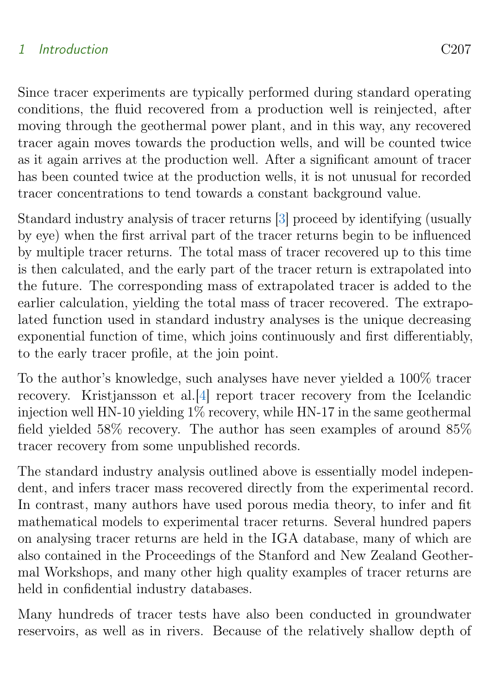## <span id="page-2-0"></span>1 Introduction C207

Since tracer experiments are typically performed during standard operating conditions, the fluid recovered from a production well is reinjected, after moving through the geothermal power plant, and in this way, any recovered tracer again moves towards the production wells, and will be counted twice as it again arrives at the production well. After a significant amount of tracer has been counted twice at the production wells, it is not unusual for recorded tracer concentrations to tend towards a constant background value.

Standard industry analysis of tracer returns [\[3\]](#page-8-1) proceed by identifying (usually by eye) when the first arrival part of the tracer returns begin to be influenced by multiple tracer returns. The total mass of tracer recovered up to this time is then calculated, and the early part of the tracer return is extrapolated into the future. The corresponding mass of extrapolated tracer is added to the earlier calculation, yielding the total mass of tracer recovered. The extrapolated function used in standard industry analyses is the unique decreasing exponential function of time, which joins continuously and first differentiably, to the early tracer profile, at the join point.

To the author's knowledge, such analyses have never yielded a 100% tracer recovery. Kristjansson et al.[\[4\]](#page-8-2) report tracer recovery from the Icelandic injection well HN-10 yielding 1% recovery, while HN-17 in the same geothermal field yielded 58% recovery. The author has seen examples of around 85% tracer recovery from some unpublished records.

The standard industry analysis outlined above is essentially model independent, and infers tracer mass recovered directly from the experimental record. In contrast, many authors have used porous media theory, to infer and fit mathematical models to experimental tracer returns. Several hundred papers on analysing tracer returns are held in the IGA database, many of which are also contained in the Proceedings of the Stanford and New Zealand Geothermal Workshops, and many other high quality examples of tracer returns are held in confidential industry databases.

Many hundreds of tracer tests have also been conducted in groundwater reservoirs, as well as in rivers. Because of the relatively shallow depth of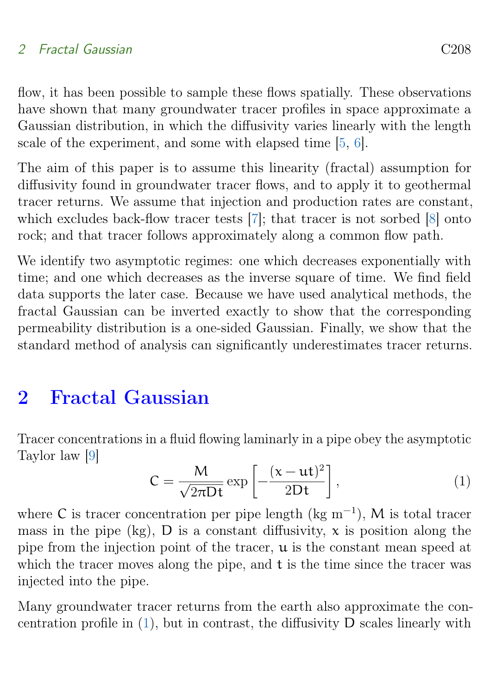<span id="page-3-2"></span>flow, it has been possible to sample these flows spatially. These observations have shown that many groundwater tracer profiles in space approximate a Gaussian distribution, in which the diffusivity varies linearly with the length scale of the experiment, and some with elapsed time [\[5,](#page-9-0) [6\]](#page-9-1).

The aim of this paper is to assume this linearity (fractal) assumption for diffusivity found in groundwater tracer flows, and to apply it to geothermal tracer returns. We assume that injection and production rates are constant, which excludes back-flow tracer tests [\[7\]](#page-9-2); that tracer is not sorbed [\[8\]](#page-9-3) onto rock; and that tracer follows approximately along a common flow path.

We identify two asymptotic regimes: one which decreases exponentially with time; and one which decreases as the inverse square of time. We find field data supports the later case. Because we have used analytical methods, the fractal Gaussian can be inverted exactly to show that the corresponding permeability distribution is a one-sided Gaussian. Finally, we show that the standard method of analysis can significantly underestimates tracer returns.

# <span id="page-3-0"></span>2 Fractal Gaussian

Tracer concentrations in a fluid flowing laminarly in a pipe obey the asymptotic Taylor law [\[9\]](#page-9-4)

<span id="page-3-1"></span>
$$
C = \frac{M}{\sqrt{2\pi Dt}} \exp\left[-\frac{(x - ut)^2}{2Dt}\right],
$$
 (1)

where C is tracer concentration per pipe length ( $\text{kg m}^{-1}$ ), M is total tracer mass in the pipe (kg),  $D$  is a constant diffusivity,  $x$  is position along the pipe from the injection point of the tracer,  $\mu$  is the constant mean speed at which the tracer moves along the pipe, and t is the time since the tracer was injected into the pipe.

Many groundwater tracer returns from the earth also approximate the concentration profile in [\(1\)](#page-3-1), but in contrast, the diffusivity D scales linearly with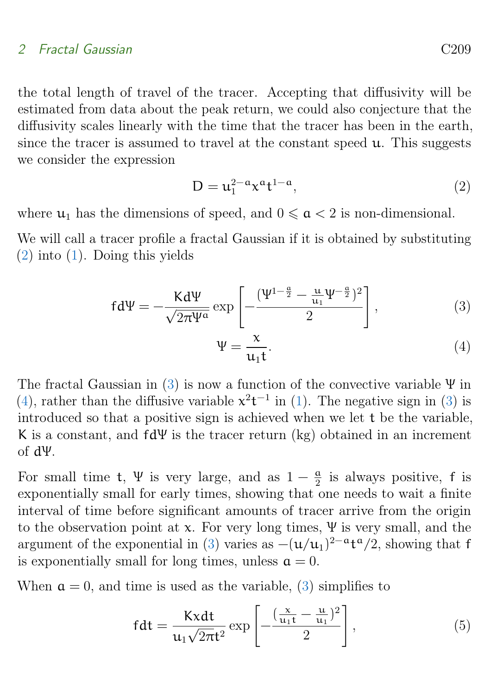#### 2 Fractal Gaussian C209

the total length of travel of the tracer. Accepting that diffusivity will be estimated from data about the peak return, we could also conjecture that the diffusivity scales linearly with the time that the tracer has been in the earth, since the tracer is assumed to travel at the constant speed u. This suggests we consider the expression

<span id="page-4-0"></span>
$$
D = u_1^{2-a} x^{\alpha} t^{1-a}, \qquad (2)
$$

where  $u_1$  has the dimensions of speed, and  $0 \le \alpha < 2$  is non-dimensional.

We will call a tracer profile a fractal Gaussian if it is obtained by substituting [\(2\)](#page-4-0) into [\(1\)](#page-3-1). Doing this yields

<span id="page-4-1"></span>
$$
fd\Psi = -\frac{Kd\Psi}{\sqrt{2\pi\Psi^{\alpha}}} \exp\left[-\frac{(\Psi^{1-\frac{\alpha}{2}} - \frac{\mu}{u_1}\Psi^{-\frac{\alpha}{2}})^2}{2}\right],
$$
\n(3)

<span id="page-4-2"></span>
$$
\Psi = \frac{x}{u_1 t}.\tag{4}
$$

The fractal Gaussian in [\(3\)](#page-4-1) is now a function of the convective variable  $\Psi$  in [\(4\)](#page-4-2), rather than the diffusive variable  $x^2t^{-1}$  in [\(1\)](#page-3-1). The negative sign in [\(3\)](#page-4-1) is introduced so that a positive sign is achieved when we let t be the variable, K is a constant, and  $fd\Psi$  is the tracer return (kg) obtained in an increment of dΨ.

For small time t,  $\Psi$  is very large, and as  $1-\frac{a}{2}$  $\frac{a}{2}$  is always positive, f is exponentially small for early times, showing that one needs to wait a finite interval of time before significant amounts of tracer arrive from the origin to the observation point at x. For very long times,  $\Psi$  is very small, and the argument of the exponential in [\(3\)](#page-4-1) varies as  $-(\mathbf{u}/\mathbf{u}_1)^{2-\mathbf{a}}\mathbf{t}^{\mathbf{a}}/2$ , showing that f is exponentially small for long times, unless  $a = 0$ .

When  $a = 0$ , and time is used as the variable, [\(3\)](#page-4-1) simplifies to

<span id="page-4-3"></span>
$$
fdt = \frac{Kxdt}{u_1\sqrt{2\pi}t^2} \exp\left[-\frac{(\frac{x}{u_1t} - \frac{u}{u_1})^2}{2}\right],
$$
\n(5)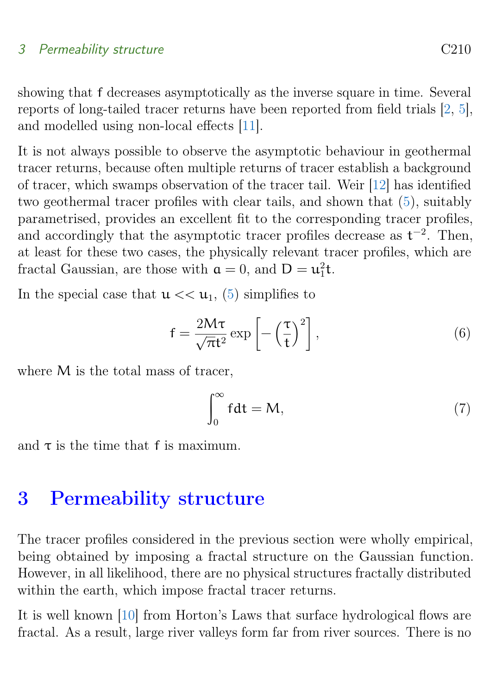## <span id="page-5-2"></span>3 Permeability structure C<sub>210</sub>

showing that f decreases asymptotically as the inverse square in time. Several reports of long-tailed tracer returns have been reported from field trials [\[2,](#page-8-3) [5\]](#page-9-0), and modelled using non-local effects [\[11\]](#page-9-5).

It is not always possible to observe the asymptotic behaviour in geothermal tracer returns, because often multiple returns of tracer establish a background of tracer, which swamps observation of the tracer tail. Weir [\[12\]](#page-9-6) has identified two geothermal tracer profiles with clear tails, and shown that [\(5\)](#page-4-3), suitably parametrised, provides an excellent fit to the corresponding tracer profiles, and accordingly that the asymptotic tracer profiles decrease as  $t^{-2}$ . Then, at least for these two cases, the physically relevant tracer profiles, which are fractal Gaussian, are those with  $\mathfrak{a} = 0$ , and  $D = u_1^2 t$ .

In the special case that  $u \ll u_1$ , [\(5\)](#page-4-3) simplifies to

<span id="page-5-1"></span>
$$
f = \frac{2M\tau}{\sqrt{\pi}t^2} \exp\left[-\left(\frac{\tau}{t}\right)^2\right],\tag{6}
$$

where M is the total mass of tracer,

$$
\int_0^\infty f dt = M,\tag{7}
$$

and  $\tau$  is the time that f is maximum.

## <span id="page-5-0"></span>3 Permeability structure

The tracer profiles considered in the previous section were wholly empirical, being obtained by imposing a fractal structure on the Gaussian function. However, in all likelihood, there are no physical structures fractally distributed within the earth, which impose fractal tracer returns.

It is well known [\[10\]](#page-9-7) from Horton's Laws that surface hydrological flows are fractal. As a result, large river valleys form far from river sources. There is no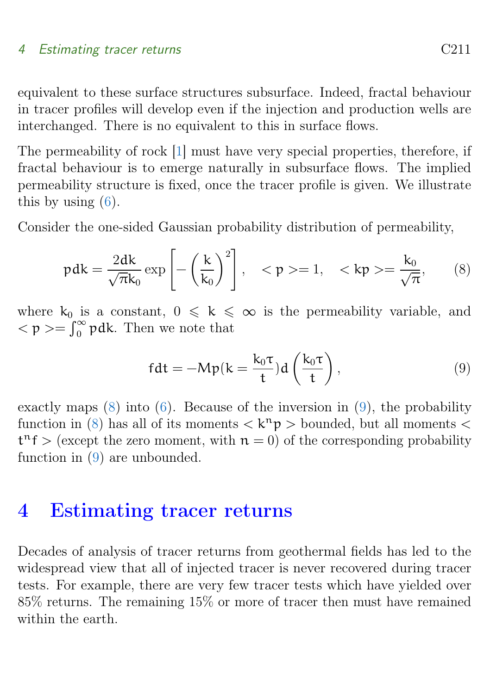#### <span id="page-6-3"></span>4 Estimating tracer returns C211

equivalent to these surface structures subsurface. Indeed, fractal behaviour in tracer profiles will develop even if the injection and production wells are interchanged. There is no equivalent to this in surface flows.

The permeability of rock [\[1\]](#page-8-4) must have very special properties, therefore, if fractal behaviour is to emerge naturally in subsurface flows. The implied permeability structure is fixed, once the tracer profile is given. We illustrate this by using  $(6)$ .

Consider the one-sided Gaussian probability distribution of permeability,

<span id="page-6-1"></span>
$$
\text{pdk} = \frac{2dk}{\sqrt{\pi}k_0} \exp\left[-\left(\frac{k}{k_0}\right)^2\right], \quad < p > = 1, \quad  = \frac{k_0}{\sqrt{\pi}}, \tag{8}
$$

where  $k_0$  is a constant,  $0 \le k \le \infty$  is the permeability variable, and  $<\mathfrak{p}>=\int_{0}^{\infty} \mathfrak{p} d\mathbf{k}$ . Then we note that

<span id="page-6-2"></span>
$$
fdt = -Mp(k = \frac{k_0 \tau}{t})d\left(\frac{k_0 \tau}{t}\right),\tag{9}
$$

exactly maps  $(8)$  into  $(6)$ . Because of the inversion in  $(9)$ , the probability function in [\(8\)](#page-6-1) has all of its moments  $\langle k^n p \rangle$  bounded, but all moments  $\langle k^n p \rangle$  $t^n f$  > (except the zero moment, with  $n = 0$ ) of the corresponding probability function in [\(9\)](#page-6-2) are unbounded.

## <span id="page-6-0"></span>4 Estimating tracer returns

Decades of analysis of tracer returns from geothermal fields has led to the widespread view that all of injected tracer is never recovered during tracer tests. For example, there are very few tracer tests which have yielded over 85% returns. The remaining 15% or more of tracer then must have remained within the earth.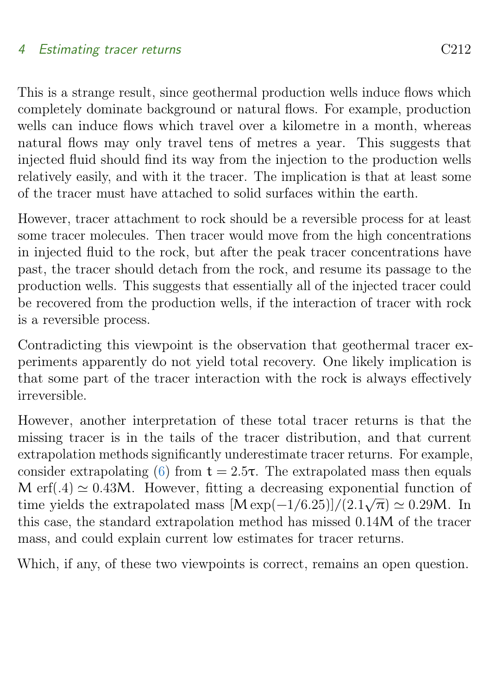### 4 Estimating tracer returns C212

This is a strange result, since geothermal production wells induce flows which completely dominate background or natural flows. For example, production wells can induce flows which travel over a kilometre in a month, whereas natural flows may only travel tens of metres a year. This suggests that injected fluid should find its way from the injection to the production wells relatively easily, and with it the tracer. The implication is that at least some of the tracer must have attached to solid surfaces within the earth.

However, tracer attachment to rock should be a reversible process for at least some tracer molecules. Then tracer would move from the high concentrations in injected fluid to the rock, but after the peak tracer concentrations have past, the tracer should detach from the rock, and resume its passage to the production wells. This suggests that essentially all of the injected tracer could be recovered from the production wells, if the interaction of tracer with rock is a reversible process.

Contradicting this viewpoint is the observation that geothermal tracer experiments apparently do not yield total recovery. One likely implication is that some part of the tracer interaction with the rock is always effectively irreversible.

However, another interpretation of these total tracer returns is that the missing tracer is in the tails of the tracer distribution, and that current extrapolation methods significantly underestimate tracer returns. For example, consider extrapolating [\(6\)](#page-5-1) from  $t = 2.5\tau$ . The extrapolated mass then equals M erf(.4)  $\simeq 0.43M$ . However, fitting a decreasing exponential function of we ender the extrapolated mass  $[M \exp(-1/6.25)]/(2.1\sqrt{\pi}) \simeq 0.29M$ . In this case, the standard extrapolation method has missed 0.14M of the tracer mass, and could explain current low estimates for tracer returns.

<span id="page-7-0"></span>Which, if any, of these two viewpoints is correct, remains an open question.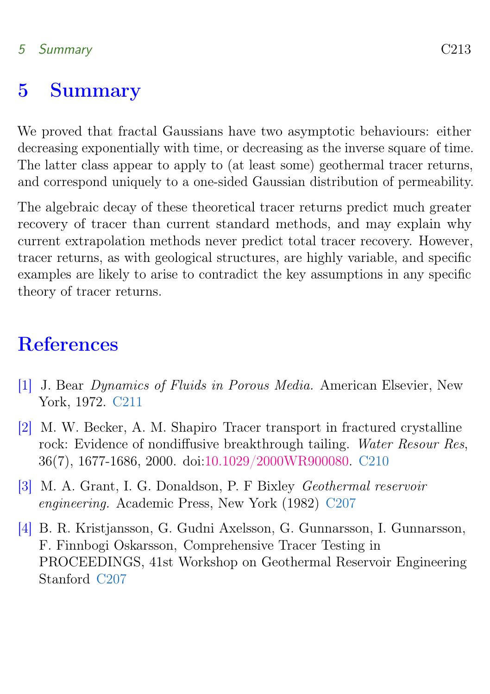## 5 Summary C213

## 5 Summary

We proved that fractal Gaussians have two asymptotic behaviours: either decreasing exponentially with time, or decreasing as the inverse square of time. The latter class appear to apply to (at least some) geothermal tracer returns, and correspond uniquely to a one-sided Gaussian distribution of permeability.

The algebraic decay of these theoretical tracer returns predict much greater recovery of tracer than current standard methods, and may explain why current extrapolation methods never predict total tracer recovery. However, tracer returns, as with geological structures, are highly variable, and specific examples are likely to arise to contradict the key assumptions in any specific theory of tracer returns.

# <span id="page-8-0"></span>**References**

- <span id="page-8-4"></span>[1] J. Bear Dynamics of Fluids in Porous Media. American Elsevier, New York, 1972. [C211](#page-6-3)
- <span id="page-8-3"></span>[2] M. W. Becker, A. M. Shapiro Tracer transport in fractured crystalline rock: Evidence of nondiffusive breakthrough tailing. Water Resour Res, 36(7), 1677-1686, 2000. doi[:10.1029/2000WR900080.](https://doi.org/10.1029/2000WR900080) [C210](#page-5-2)
- <span id="page-8-1"></span>[3] M. A. Grant, I. G. Donaldson, P. F Bixley Geothermal reservoir engineering. Academic Press, New York (1982) [C207](#page-2-0)
- <span id="page-8-2"></span>[4] B. R. Kristjansson, G. Gudni Axelsson, G. Gunnarsson, I. Gunnarsson, F. Finnbogi Oskarsson, Comprehensive Tracer Testing in PROCEEDINGS, 41st Workshop on Geothermal Reservoir Engineering Stanford [C207](#page-2-0)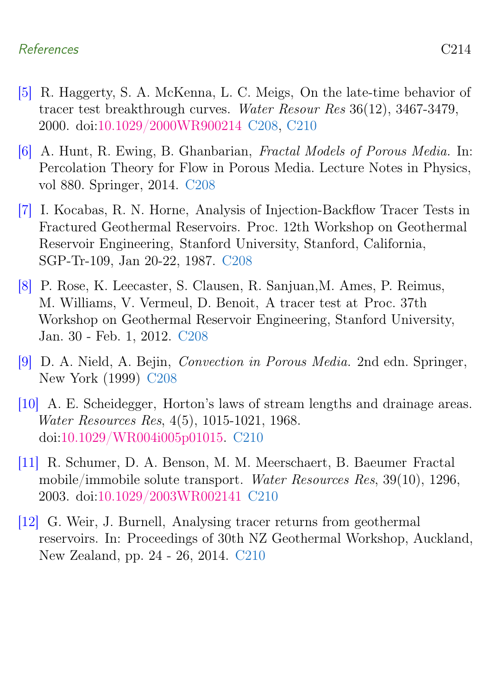## References C214

- <span id="page-9-0"></span>[5] R. Haggerty, S. A. McKenna, L. C. Meigs, On the late-time behavior of tracer test breakthrough curves. Water Resour Res 36(12), 3467-3479, 2000. doi[:10.1029/2000WR900214](https://doi.org/10.1029/2000WR900214) [C208,](#page-3-2) [C210](#page-5-2)
- <span id="page-9-1"></span>[6] A. Hunt, R. Ewing, B. Ghanbarian, Fractal Models of Porous Media. In: Percolation Theory for Flow in Porous Media. Lecture Notes in Physics, vol 880. Springer, 2014. [C208](#page-3-2)
- <span id="page-9-2"></span>[7] I. Kocabas, R. N. Horne, Analysis of Injection-Backflow Tracer Tests in Fractured Geothermal Reservoirs. Proc. 12th Workshop on Geothermal Reservoir Engineering, Stanford University, Stanford, California, SGP-Tr-109, Jan 20-22, 1987. [C208](#page-3-2)
- <span id="page-9-3"></span>[8] P. Rose, K. Leecaster, S. Clausen, R. Sanjuan,M. Ames, P. Reimus, M. Williams, V. Vermeul, D. Benoit, A tracer test at Proc. 37th Workshop on Geothermal Reservoir Engineering, Stanford University, Jan. 30 - Feb. 1, 2012. [C208](#page-3-2)
- <span id="page-9-4"></span>[9] D. A. Nield, A. Bejin, Convection in Porous Media. 2nd edn. Springer, New York (1999) [C208](#page-3-2)
- <span id="page-9-7"></span>[10] A. E. Scheidegger, Horton's laws of stream lengths and drainage areas. Water Resources Res, 4(5), 1015-1021, 1968. doi[:10.1029/WR004i005p01015.](https://doi.org/10.1029/WR004i005p01015) [C210](#page-5-2)
- <span id="page-9-5"></span>[11] R. Schumer, D. A. Benson, M. M. Meerschaert, B. Baeumer Fractal mobile/immobile solute transport. Water Resources Res, 39(10), 1296, 2003. doi[:10.1029/2003WR002141](https://doi.org/10.1029/2003WR002141) [C210](#page-5-2)
- <span id="page-9-6"></span>[12] G. Weir, J. Burnell, Analysing tracer returns from geothermal reservoirs. In: Proceedings of 30th NZ Geothermal Workshop, Auckland, New Zealand, pp. 24 - 26, 2014. [C210](#page-5-2)